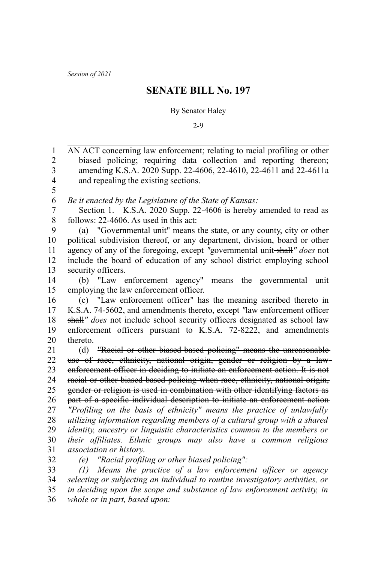*Session of 2021*

## **SENATE BILL No. 197**

## By Senator Haley

2-9

AN ACT concerning law enforcement; relating to racial profiling or other biased policing; requiring data collection and reporting thereon; amending K.S.A. 2020 Supp. 22-4606, 22-4610, 22-4611 and 22-4611a and repealing the existing sections. *Be it enacted by the Legislature of the State of Kansas:* Section 1. K.S.A. 2020 Supp. 22-4606 is hereby amended to read as follows: 22-4606. As used in this act: (a) "Governmental unit" means the state, or any county, city or other political subdivision thereof, or any department, division, board or other agency of any of the foregoing, except *"*governmental unit shall*" does* not include the board of education of any school district employing school security officers. (b) "Law enforcement agency" means the governmental unit employing the law enforcement officer. (c) "Law enforcement officer" has the meaning ascribed thereto in K.S.A. 74-5602, and amendments thereto, except *"*law enforcement officer shall*" does* not include school security officers designated as school law enforcement officers pursuant to K.S.A. 72-8222, and amendments thereto. (d) "Racial or other biased-based policing" means the unreasonable use of race, ethnicity, national origin, gender or religion by a law enforcement officer in deciding to initiate an enforcement action. It is not racial or other biased-based policing when race, ethnicity, national origin, gender or religion is used in combination with other identifying factors as part of a specific individual description to initiate an enforcement action *"Profiling on the basis of ethnicity" means the practice of unlawfully utilizing information regarding members of a cultural group with a shared identity, ancestry or linguistic characteristics common to the members or their affiliates. Ethnic groups may also have a common religious association or history*. *(e) "Racial profiling or other biased policing": (1) Means the practice of a law enforcement officer or agency* 1 2 3 4 5 6 7 8 9 10 11 12 13 14 15 16 17 18 19 20 21 22 23 24 25 26 27 28 29 30 31 32 33

*selecting or subjecting an individual to routine investigatory activities, or in deciding upon the scope and substance of law enforcement activity, in whole or in part, based upon:* 34 35 36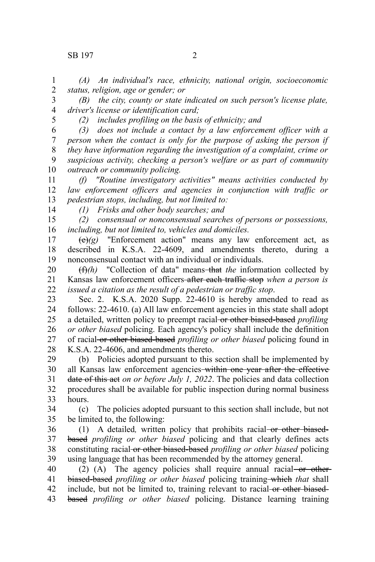## SB 197 2

*(A) An individual's race, ethnicity, national origin, socioeconomic status, religion, age or gender; or* 1 2

*(B) the city, county or state indicated on such person's license plate, driver's license or identification card;* 3 4

5

*(2) includes profiling on the basis of ethnicity; and*

*(3) does not include a contact by a law enforcement officer with a person when the contact is only for the purpose of asking the person if they have information regarding the investigation of a complaint, crime or suspicious activity, checking a person's welfare or as part of community outreach or community policing.* 6 7 8 9 10

*(f) "Routine investigatory activities" means activities conducted by law enforcement officers and agencies in conjunction with traffic or pedestrian stops, including, but not limited to:* 11 12 13

14

*(1) Frisks and other body searches; and*

*(2) consensual or nonconsensual searches of persons or possessions, including, but not limited to, vehicles and domiciles.* 15 16

 $\overline{(e)}(g)$  "Enforcement action" means any law enforcement act, as described in K.S.A. 22-4609, and amendments thereto, during a nonconsensual contact with an individual or individuals. 17 18 19

(f)*(h)* "Collection of data" means that *the* information collected by Kansas law enforcement officers after each traffic stop *when a person is issued a citation as the result of a pedestrian or traffic stop*. 20 21 22

Sec. 2. K.S.A. 2020 Supp. 22-4610 is hereby amended to read as follows: 22-4610. (a) All law enforcement agencies in this state shall adopt a detailed, written policy to preempt racial or other biased-based *profiling or other biased* policing. Each agency's policy shall include the definition of racial or other biased-based *profiling or other biased* policing found in K.S.A. 22-4606, and amendments thereto. 23 24 25 26 27 28

(b) Policies adopted pursuant to this section shall be implemented by all Kansas law enforcement agencies within one year after the effective date of this act *on or before July 1, 2022*. The policies and data collection procedures shall be available for public inspection during normal business hours. 29 30 31 32 33

(c) The policies adopted pursuant to this section shall include, but not be limited to, the following: 34 35

(1) A detailed*,* written policy that prohibits racial or other biasedbased *profiling or other biased* policing and that clearly defines acts constituting racial or other biased-based *profiling or other biased* policing using language that has been recommended by the attorney general. 36 37 38 39

(2) (A) The agency policies shall require annual racial  $-$ or otherbiased-based *profiling or other biased* policing training which *that* shall include, but not be limited to, training relevant to racial or other biasedbased *profiling or other biased* policing. Distance learning training 40 41 42 43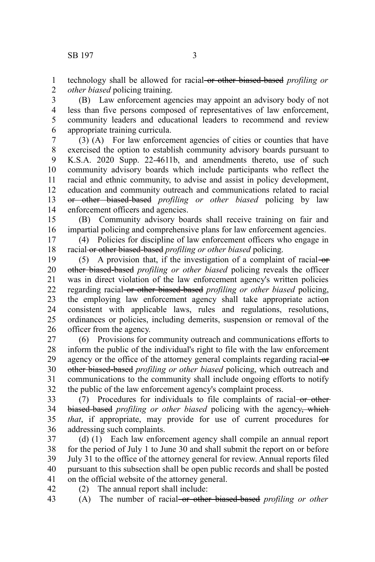technology shall be allowed for racial or other biased-based *profiling or other biased* policing training. 1 2

(B) Law enforcement agencies may appoint an advisory body of not less than five persons composed of representatives of law enforcement, community leaders and educational leaders to recommend and review appropriate training curricula. 3 4 5 6

(3) (A) For law enforcement agencies of cities or counties that have exercised the option to establish community advisory boards pursuant to K.S.A. 2020 Supp. 22-4611b, and amendments thereto, use of such community advisory boards which include participants who reflect the racial and ethnic community, to advise and assist in policy development, education and community outreach and communications related to racial or other biased-based *profiling or other biased* policing by law enforcement officers and agencies. 7 8 9 10 11 12 13 14

(B) Community advisory boards shall receive training on fair and impartial policing and comprehensive plans for law enforcement agencies. 15 16

(4) Policies for discipline of law enforcement officers who engage in racial or other biased-based *profiling or other biased* policing. 17 18

(5) A provision that, if the investigation of a complaint of racial- $\theta$ other biased-based *profiling or other biased* policing reveals the officer was in direct violation of the law enforcement agency's written policies regarding racial or other biased-based *profiling or other biased* policing, the employing law enforcement agency shall take appropriate action consistent with applicable laws, rules and regulations, resolutions, ordinances or policies, including demerits, suspension or removal of the officer from the agency. 19 20 21 22 23 24 25 26

(6) Provisions for community outreach and communications efforts to inform the public of the individual's right to file with the law enforcement agency or the office of the attorney general complaints regarding racial or other biased-based *profiling or other biased* policing, which outreach and communications to the community shall include ongoing efforts to notify the public of the law enforcement agency's complaint process. 27 28 29 30 31 32

 $(7)$  Procedures for individuals to file complaints of racial or other biased-based *profiling or other biased* policing with the agency, which *that*, if appropriate, may provide for use of current procedures for addressing such complaints. 33 34 35 36

(d) (1) Each law enforcement agency shall compile an annual report for the period of July 1 to June 30 and shall submit the report on or before July 31 to the office of the attorney general for review. Annual reports filed pursuant to this subsection shall be open public records and shall be posted on the official website of the attorney general. 37 38 39 40 41

(2) The annual report shall include: 42

(A) The number of racial or other biased-based *profiling or other* 43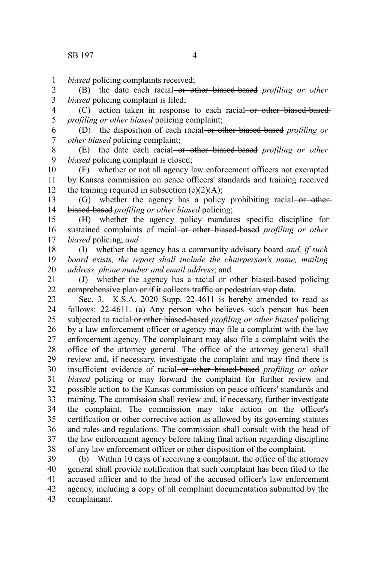*biased* policing complaints received; 1

(B) the date each racial or other biased-based *profiling or other biased* policing complaint is filed; 2 3

(C) action taken in response to each racial or other biased-based*profiling or other biased* policing complaint; 4 5

(D) the disposition of each racial or other biased-based *profiling or other biased* policing complaint; 6 7

(E) the date each racial or other biased-based *profiling or other biased* policing complaint is closed; 8 9

(F) whether or not all agency law enforcement officers not exempted by Kansas commission on peace officers' standards and training received the training required in subsection  $(c)(2)(A)$ ; 10 11 12

(G) whether the agency has a policy prohibiting racial or otherbiased-based *profiling or other biased* policing; 13 14

(H) whether the agency policy mandates specific discipline for sustained complaints of racial-or other biased-based *profiling or other biased* policing; *and* 15 16 17

(I) whether the agency has a community advisory board *and, if such board exists, the report shall include the chairperson's name, mailing address, phone number and email address*; and 18 19 20

(J) whether the agency has a racial or other biased-based policing comprehensive plan or if it collects traffic or pedestrian stop data. 21 22

Sec. 3. K.S.A. 2020 Supp. 22-4611 is hereby amended to read as follows: 22-4611. (a) Any person who believes such person has been subjected to racial or other biased-based *profiling or other biased* policing by a law enforcement officer or agency may file a complaint with the law enforcement agency. The complainant may also file a complaint with the office of the attorney general. The office of the attorney general shall review and, if necessary, investigate the complaint and may find there is insufficient evidence of racial or other biased-based *profiling or other biased* policing or may forward the complaint for further review and possible action to the Kansas commission on peace officers' standards and training. The commission shall review and, if necessary, further investigate the complaint. The commission may take action on the officer's certification or other corrective action as allowed by its governing statutes and rules and regulations. The commission shall consult with the head of the law enforcement agency before taking final action regarding discipline of any law enforcement officer or other disposition of the complaint. 23 24 25 26 27 28 29 30 31 32 33 34 35 36 37 38

(b) Within 10 days of receiving a complaint, the office of the attorney general shall provide notification that such complaint has been filed to the accused officer and to the head of the accused officer's law enforcement agency, including a copy of all complaint documentation submitted by the complainant. 39 40 41 42 43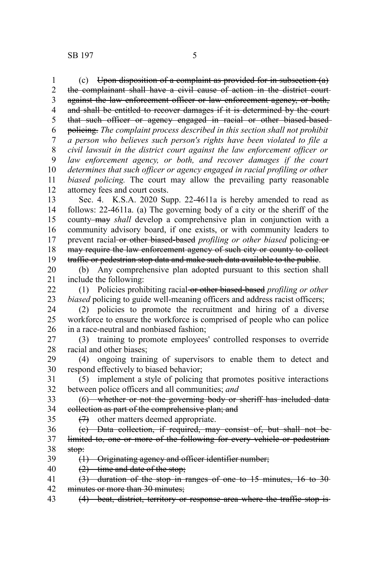(c) Upon disposition of a complaint as provided for in subsection (a) the complainant shall have a civil cause of action in the district court against the law enforcement officer or law enforcement agency, or both, and shall be entitled to recover damages if it is determined by the court that such officer or agency engaged in racial or other biased-based policing. *The complaint process described in this section shall not prohibit a person who believes such person's rights have been violated to file a civil lawsuit in the district court against the law enforcement officer or law enforcement agency, or both, and recover damages if the court determines that such officer or agency engaged in racial profiling or other biased policing.* The court may allow the prevailing party reasonable attorney fees and court costs. Sec. 4. K.S.A. 2020 Supp. 22-4611a is hereby amended to read as follows: 22-4611a. (a) The governing body of a city or the sheriff of the county may *shall* develop a comprehensive plan in conjunction with a community advisory board, if one exists, or with community leaders to prevent racial or other biased-based *profiling or other biased* policing or may require the law enforcement agency of such city or county to collect traffic or pedestrian stop data and make such data available to the public. (b) Any comprehensive plan adopted pursuant to this section shall include the following: (1) Policies prohibiting racial or other biased-based *profiling or other biased* policing to guide well-meaning officers and address racist officers; (2) policies to promote the recruitment and hiring of a diverse workforce to ensure the workforce is comprised of people who can police in a race-neutral and nonbiased fashion; (3) training to promote employees' controlled responses to override racial and other biases; (4) ongoing training of supervisors to enable them to detect and respond effectively to biased behavior; (5) implement a style of policing that promotes positive interactions between police officers and all communities; *and* (6) whether or not the governing body or sheriff has included data collection as part of the comprehensive plan; and (7) other matters deemed appropriate. (c) Data collection, if required, may consist of, but shall not be limited to, one or more of the following for every vehicle or pedestrian stop: (1) Originating agency and officer identifier number; (2) time and date of the stop; (3) duration of the stop in ranges of one to 15 minutes, 16 to 30 1 2 3 4 5 6 7 8 9 10 11 12 13 14 15 16 17 18 19 20 21 22 23 24 25 26 27 28 29 30 31 32 33 34 35 36 37 38 39 40 41

- minutes or more than 30 minutes; 42
- (4) beat, district, territory or response area where the traffic stop is 43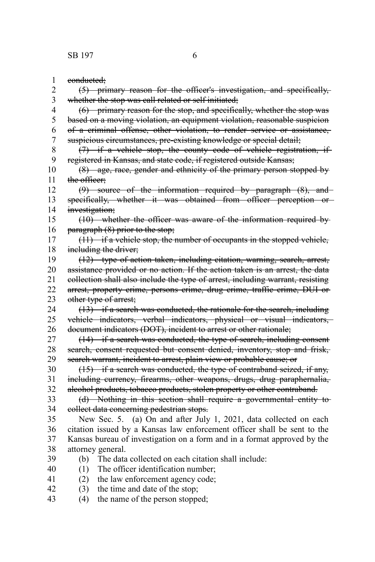conducted; (5) primary reason for the officer's investigation, and specifically, whether the stop was call related or self initiated; (6) primary reason for the stop, and specifically, whether the stop was based on a moving violation, an equipment violation, reasonable suspicion of a criminal offense, other violation, to render service or assistance, suspicious circumstances, pre-existing knowledge or special detail; (7) if a vehicle stop, the county code of vehicle registration, if registered in Kansas, and state code, if registered outside Kansas; (8) age, race, gender and ethnicity of the primary person stopped by the officer: (9) source of the information required by paragraph (8), and specifically, whether it was obtained from officer perception or investigation; (10) whether the officer was aware of the information required by paragraph (8) prior to the stop; (11) if a vehicle stop, the number of occupants in the stopped vehicle, including the driver; (12) type of action taken, including citation, warning, search, arrest, assistance provided or no action. If the action taken is an arrest, the data collection shall also include the type of arrest, including warrant, resisting arrest, property crime, persons crime, drug crime, traffic crime, DUI or other type of arrest; (13) if a search was conducted, the rationale for the search, including vehicle indicators, verbal indicators, physical or visual indicators, document indicators (DOT), incident to arrest or other rationale; (14) if a search was conducted, the type of search, including consent search, consent requested but consent denied, inventory, stop and frisk, search warrant, incident to arrest, plain view or probable cause; or (15) if a search was conducted, the type of contraband seized, if any, including currency, firearms, other weapons, drugs, drug paraphernalia, alcohol products, tobacco products, stolen property or other contraband. (d) Nothing in this section shall require a governmental entity to collect data concerning pedestrian stops. New Sec. 5. (a) On and after July 1, 2021, data collected on each citation issued by a Kansas law enforcement officer shall be sent to the Kansas bureau of investigation on a form and in a format approved by the attorney general. (b) The data collected on each citation shall include: (1) The officer identification number; (2) the law enforcement agency code; (3) the time and date of the stop; (4) the name of the person stopped; 1 2 3 4 5 6 7 8 9 10 11 12 13 14 15 16 17 18 19 20 21 22 23 24 25 26 27 28 29 30 31 32 33 34 35 36 37 38 39 40 41 42 43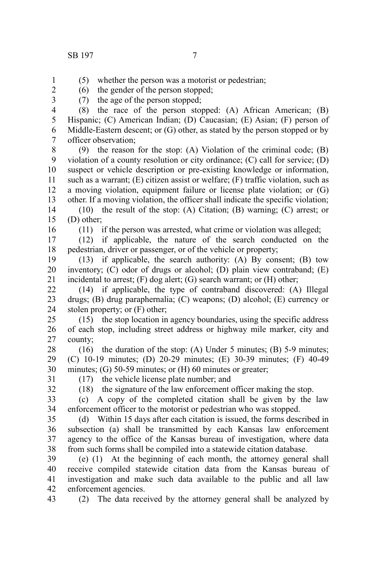1 2 3 (5) whether the person was a motorist or pedestrian;

(6) the gender of the person stopped;

(7) the age of the person stopped;

(8) the race of the person stopped: (A) African American; (B) Hispanic; (C) American Indian; (D) Caucasian; (E) Asian; (F) person of Middle-Eastern descent; or (G) other, as stated by the person stopped or by officer observation; 4 5 6 7

(9) the reason for the stop: (A) Violation of the criminal code; (B) violation of a county resolution or city ordinance; (C) call for service; (D) suspect or vehicle description or pre-existing knowledge or information, such as a warrant; (E) citizen assist or welfare; (F) traffic violation, such as a moving violation, equipment failure or license plate violation; or (G) other. If a moving violation, the officer shall indicate the specific violation; 8 9 10 11 12 13

(10) the result of the stop: (A) Citation; (B) warning; (C) arrest; or (D) other; 14 15

16

(11) if the person was arrested, what crime or violation was alleged;

(12) if applicable, the nature of the search conducted on the pedestrian, driver or passenger, or of the vehicle or property; 17 18

(13) if applicable, the search authority: (A) By consent; (B) tow inventory; (C) odor of drugs or alcohol; (D) plain view contraband; (E) incidental to arrest; (F) dog alert; (G) search warrant; or (H) other; 19 20 21

(14) if applicable, the type of contraband discovered: (A) Illegal drugs; (B) drug paraphernalia; (C) weapons; (D) alcohol; (E) currency or stolen property; or (F) other; 22 23 24

(15) the stop location in agency boundaries, using the specific address of each stop, including street address or highway mile marker, city and county; 25 26 27

(16) the duration of the stop: (A) Under 5 minutes; (B) 5-9 minutes; (C) 10-19 minutes; (D) 20-29 minutes; (E) 30-39 minutes; (F) 40-49 minutes; (G) 50-59 minutes; or (H) 60 minutes or greater; 28 29 30

31

(17) the vehicle license plate number; and (18) the signature of the law enforcement officer making the stop.

32 33

(c) A copy of the completed citation shall be given by the law

enforcement officer to the motorist or pedestrian who was stopped. 34

(d) Within 15 days after each citation is issued, the forms described in subsection (a) shall be transmitted by each Kansas law enforcement agency to the office of the Kansas bureau of investigation, where data from such forms shall be compiled into a statewide citation database. 35 36 37 38

(e) (1) At the beginning of each month, the attorney general shall receive compiled statewide citation data from the Kansas bureau of investigation and make such data available to the public and all law enforcement agencies. 39 40 41 42

(2) The data received by the attorney general shall be analyzed by 43